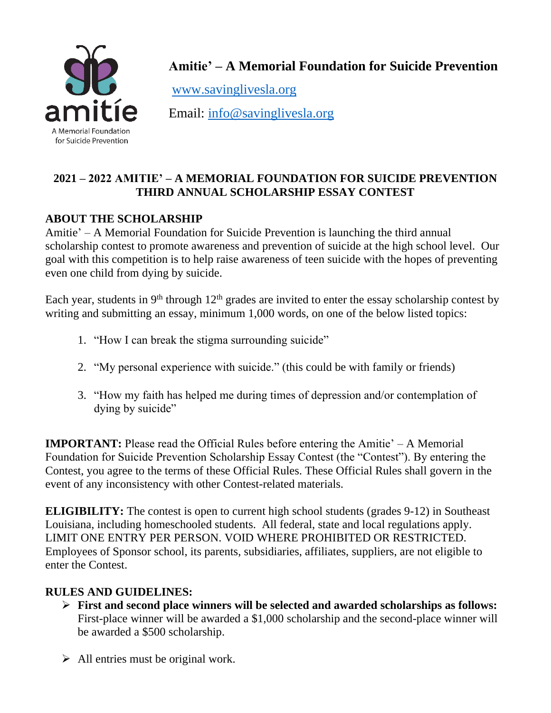

**Amitie' – A Memorial Foundation for Suicide Prevention**

[www.savinglivesla.org](http://www.savinglivesla.org/)

Email: [info@savinglivesla.org](mailto:info@savinglivesla.org)

## **2021 – 2022 AMITIE' – A MEMORIAL FOUNDATION FOR SUICIDE PREVENTION THIRD ANNUAL SCHOLARSHIP ESSAY CONTEST**

# **ABOUT THE SCHOLARSHIP**

Amitie' – A Memorial Foundation for Suicide Prevention is launching the third annual scholarship contest to promote awareness and prevention of suicide at the high school level. Our goal with this competition is to help raise awareness of teen suicide with the hopes of preventing even one child from dying by suicide.

Each year, students in  $9<sup>th</sup>$  through  $12<sup>th</sup>$  grades are invited to enter the essay scholarship contest by writing and submitting an essay, minimum 1,000 words, on one of the below listed topics:

- 1. "How I can break the stigma surrounding suicide"
- 2. "My personal experience with suicide." (this could be with family or friends)
- 3. "How my faith has helped me during times of depression and/or contemplation of dying by suicide"

**IMPORTANT:** Please read the Official Rules before entering the Amitie' – A Memorial Foundation for Suicide Prevention Scholarship Essay Contest (the "Contest"). By entering the Contest, you agree to the terms of these Official Rules. These Official Rules shall govern in the event of any inconsistency with other Contest-related materials.

**ELIGIBILITY:** The contest is open to current high school students (grades 9-12) in Southeast Louisiana, including homeschooled students. All federal, state and local regulations apply. LIMIT ONE ENTRY PER PERSON. VOID WHERE PROHIBITED OR RESTRICTED. Employees of Sponsor school, its parents, subsidiaries, affiliates, suppliers, are not eligible to enter the Contest.

### **RULES AND GUIDELINES:**

- ➢ **First and second place winners will be selected and awarded scholarships as follows:**  First-place winner will be awarded a \$1,000 scholarship and the second-place winner will be awarded a \$500 scholarship.
- $\triangleright$  All entries must be original work.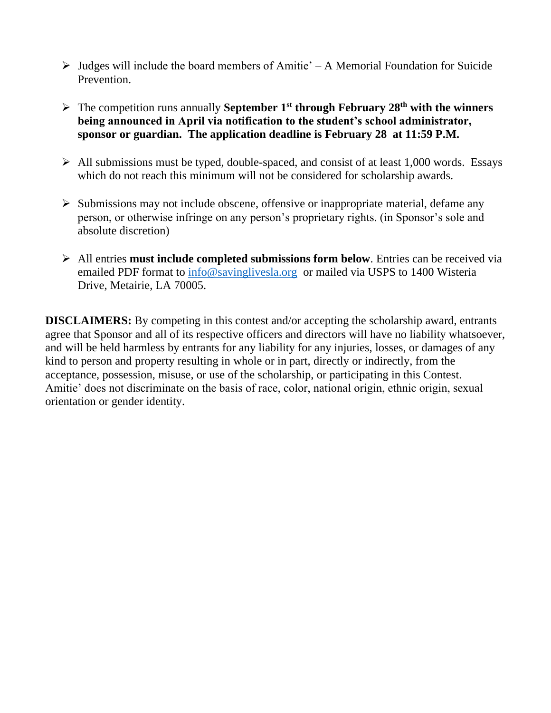- $\triangleright$  Judges will include the board members of Amitie' A Memorial Foundation for Suicide Prevention.
- ➢ The competition runs annually **September 1st through February 28th with the winners being announced in April via notification to the student's school administrator, sponsor or guardian. The application deadline is February 28 at 11:59 P.M.**
- $\triangleright$  All submissions must be typed, double-spaced, and consist of at least 1,000 words. Essays which do not reach this minimum will not be considered for scholarship awards.
- $\triangleright$  Submissions may not include obscene, offensive or inappropriate material, defame any person, or otherwise infringe on any person's proprietary rights. (in Sponsor's sole and absolute discretion)
- ➢ All entries **must include completed submissions form below**. Entries can be received via emailed PDF format to [info@savinglivesla.org](mailto:info@savinglivesla.org) or mailed via USPS to 1400 Wisteria Drive, Metairie, LA 70005.

**DISCLAIMERS:** By competing in this contest and/or accepting the scholarship award, entrants agree that Sponsor and all of its respective officers and directors will have no liability whatsoever, and will be held harmless by entrants for any liability for any injuries, losses, or damages of any kind to person and property resulting in whole or in part, directly or indirectly, from the acceptance, possession, misuse, or use of the scholarship, or participating in this Contest. Amitie' does not discriminate on the basis of race, color, national origin, ethnic origin, sexual orientation or gender identity.